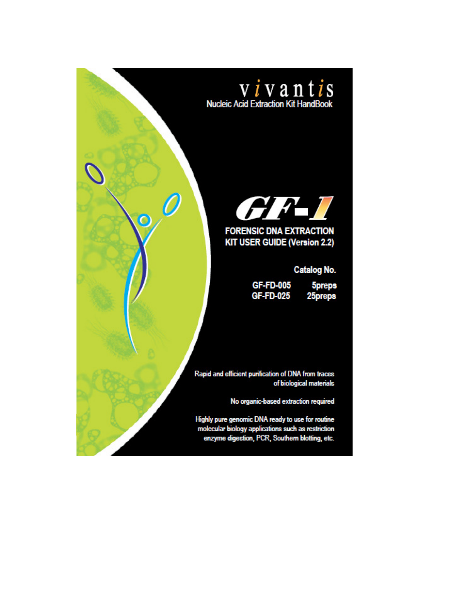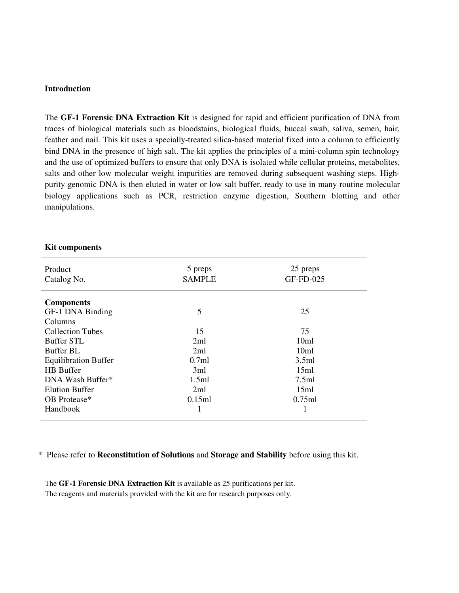#### **Introduction**

The **GF-1 Forensic DNA Extraction Kit** is designed for rapid and efficient purification of DNA from traces of biological materials such as bloodstains, biological fluids, buccal swab, saliva, semen, hair, feather and nail. This kit uses a specially-treated silica-based material fixed into a column to efficiently bind DNA in the presence of high salt. The kit applies the principles of a mini-column spin technology and the use of optimized buffers to ensure that only DNA is isolated while cellular proteins, metabolites, salts and other low molecular weight impurities are removed during subsequent washing steps. Highpurity genomic DNA is then eluted in water or low salt buffer, ready to use in many routine molecular biology applications such as PCR, restriction enzyme digestion, Southern blotting and other manipulations.

#### **Kit components**

| Product<br>Catalog No.      | 5 preps<br><b>SAMPLE</b> | 25 preps<br>GF-FD-025 |
|-----------------------------|--------------------------|-----------------------|
| <b>Components</b>           |                          |                       |
| GF-1 DNA Binding            | 5                        | 25                    |
| Columns                     |                          |                       |
| <b>Collection Tubes</b>     | 15                       | 75                    |
| <b>Buffer STL</b>           | 2ml                      | 10 <sub>m1</sub>      |
| Buffer BL                   | 2ml                      | 10ml                  |
| <b>Equilibration Buffer</b> | 0.7ml                    | 3.5ml                 |
| <b>HB</b> Buffer            | 3ml                      | 15ml                  |
| DNA Wash Buffer*            | 1.5ml                    | 7.5ml                 |
| <b>Elution Buffer</b>       | 2ml                      | 15ml                  |
| OB Protease*                | 0.15ml                   | 0.75ml                |
| Handbook                    | 1                        |                       |

#### \* Please refer to **Reconstitution of Solutions** and **Storage and Stability** before using this kit.

The **GF-1 Forensic DNA Extraction Kit** is available as 25 purifications per kit. The reagents and materials provided with the kit are for research purposes only.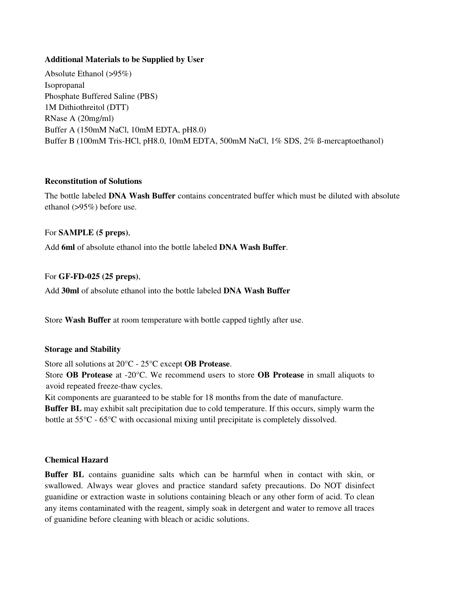### **Additional Materials to be Supplied by User**

Absolute Ethanol (>95%) Isopropanal Phosphate Buffered Saline (PBS) 1M Dithiothreitol (DTT) RNase A (20mg/ml) Buffer A (150mM NaCl, 10mM EDTA, pH8.0) Buffer B (100mM Tris-HCl, pH8.0, 10mM EDTA, 500mM NaCl, 1% SDS, 2% ß-mercaptoethanol)

### **Reconstitution of Solutions**

The bottle labeled **DNA Wash Buffer** contains concentrated buffer which must be diluted with absolute ethanol (>95%) before use.

## For **SAMPLE (5 preps)**,

Add **6ml** of absolute ethanol into the bottle labeled **DNA Wash Buffer**.

### For **GF-FD-025 (25 preps)**,

Add **30ml** of absolute ethanol into the bottle labeled **DNA Wash Buffer** 

Store **Wash Buffer** at room temperature with bottle capped tightly after use.

#### **Storage and Stability**

Store all solutions at 20°C - 25°C except **OB Protease**.

 Store **OB Protease** at -20°C. We recommend users to store **OB Protease** in small aliquots to avoid repeated freeze-thaw cycles.

Kit components are guaranteed to be stable for 18 months from the date of manufacture.

 **Buffer BL** may exhibit salt precipitation due to cold temperature. If this occurs, simply warm the bottle at 55°C - 65°C with occasional mixing until precipitate is completely dissolved.

#### **Chemical Hazard**

**Buffer BL** contains guanidine salts which can be harmful when in contact with skin, or swallowed. Always wear gloves and practice standard safety precautions. Do NOT disinfect guanidine or extraction waste in solutions containing bleach or any other form of acid. To clean any items contaminated with the reagent, simply soak in detergent and water to remove all traces of guanidine before cleaning with bleach or acidic solutions.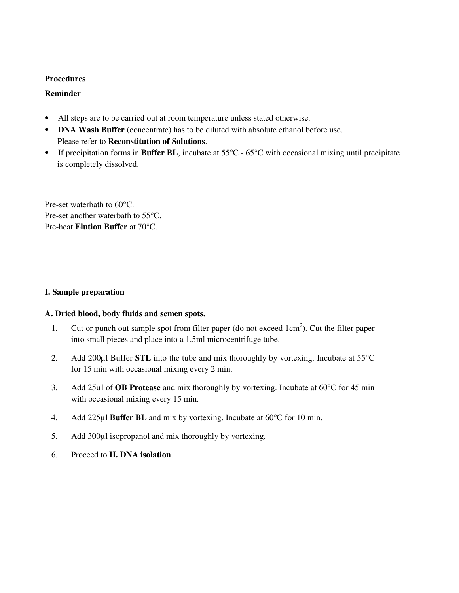#### **Procedures**

### **Reminder**

- All steps are to be carried out at room temperature unless stated otherwise.
- **DNA Wash Buffer** (concentrate) has to be diluted with absolute ethanol before use. Please refer to **Reconstitution of Solutions**.
- If precipitation forms in **Buffer BL**, incubate at 55°C 65°C with occasional mixing until precipitate is completely dissolved.

Pre-set waterbath to 60°C. Pre-set another waterbath to 55°C. Pre-heat **Elution Buffer** at 70°C.

### **I. Sample preparation**

#### **A. Dried blood, body fluids and semen spots.**

- 1. Cut or punch out sample spot from filter paper (do not exceed 1cm<sup>2</sup>). Cut the filter paper into small pieces and place into a 1.5ml microcentrifuge tube.
- 2. Add 200µl Buffer **STL** into the tube and mix thoroughly by vortexing. Incubate at 55°C for 15 min with occasional mixing every 2 min.
- 3. Add 25µl of **OB Protease** and mix thoroughly by vortexing. Incubate at 60°C for 45 min with occasional mixing every 15 min.
- 4. Add 225µl **Buffer BL** and mix by vortexing. Incubate at 60°C for 10 min.
- 5. Add 300µl isopropanol and mix thoroughly by vortexing.
- 6. Proceed to **II. DNA isolation**.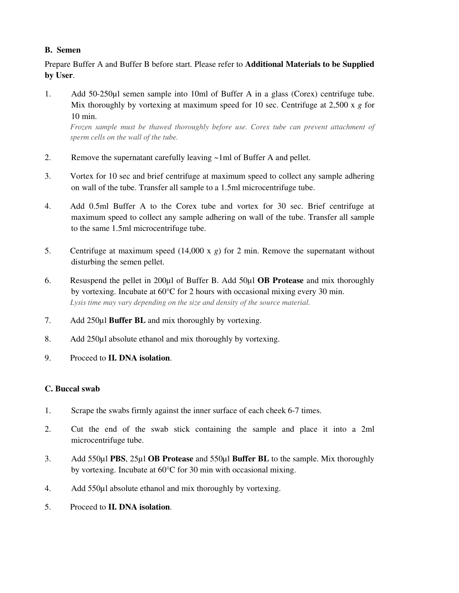# **B. Semen**

Prepare Buffer A and Buffer B before start. Please refer to **Additional Materials to be Supplied by User**.

1. Add 50-250µl semen sample into 10ml of Buffer A in a glass (Corex) centrifuge tube. Mix thoroughly by vortexing at maximum speed for 10 sec. Centrifuge at 2,500 x *g* for 10 min.

*Frozen sample must be thawed thoroughly before use. Corex tube can prevent attachment of sperm cells on the wall of the tube.* 

- 2. Remove the supernatant carefully leaving ~1ml of Buffer A and pellet.
- 3. Vortex for 10 sec and brief centrifuge at maximum speed to collect any sample adhering on wall of the tube. Transfer all sample to a 1.5ml microcentrifuge tube.
- 4. Add 0.5ml Buffer A to the Corex tube and vortex for 30 sec. Brief centrifuge at maximum speed to collect any sample adhering on wall of the tube. Transfer all sample to the same 1.5ml microcentrifuge tube.
- 5. Centrifuge at maximum speed (14,000 x *g*) for 2 min. Remove the supernatant without disturbing the semen pellet.
- 6. Resuspend the pellet in 200µl of Buffer B. Add 50µl **OB Protease** and mix thoroughly by vortexing. Incubate at 60°C for 2 hours with occasional mixing every 30 min. *Lysis time may vary depending on the size and density of the source material.*
- 7. Add 250µl **Buffer BL** and mix thoroughly by vortexing.
- 8. Add 250µl absolute ethanol and mix thoroughly by vortexing.
- 9. Proceed to **II. DNA isolation**.

## **C. Buccal swab**

- 1. Scrape the swabs firmly against the inner surface of each cheek 6-7 times.
- 2. Cut the end of the swab stick containing the sample and place it into a 2ml microcentrifuge tube.
- 3. Add 550µl **PBS**, 25µl **OB Protease** and 550µl **Buffer BL** to the sample. Mix thoroughly by vortexing. Incubate at 60°C for 30 min with occasional mixing.
- 4. Add 550µl absolute ethanol and mix thoroughly by vortexing.
- 5. Proceed to **II. DNA isolation**.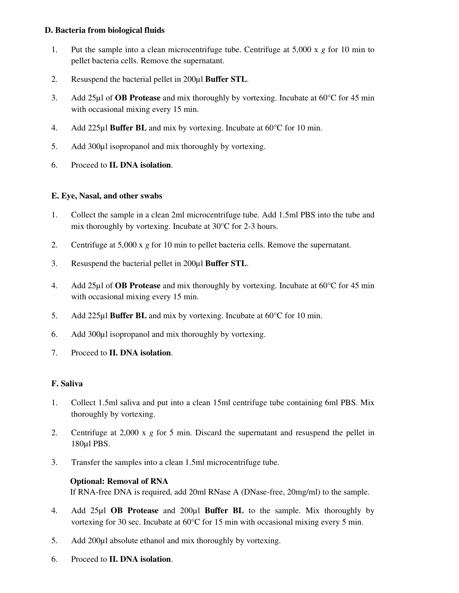### **D. Bacteria from biological fluids**

- 1. Put the sample into a clean microcentrifuge tube. Centrifuge at 5,000 x *g* for 10 min to pellet bacteria cells. Remove the supernatant.
- 2. Resuspend the bacterial pellet in 200µl **Buffer STL**.
- 3. Add 25µl of **OB Protease** and mix thoroughly by vortexing. Incubate at 60°C for 45 min with occasional mixing every 15 min.
- 4. Add 225µl **Buffer BL** and mix by vortexing. Incubate at 60°C for 10 min.
- 5. Add 300µl isopropanol and mix thoroughly by vortexing.
- 6. Proceed to **II. DNA isolation**.

## **E. Eye, Nasal, and other swabs**

- 1. Collect the sample in a clean 2ml microcentrifuge tube. Add 1.5ml PBS into the tube and mix thoroughly by vortexing. Incubate at 30°C for 2-3 hours.
- 2. Centrifuge at 5,000 x *g* for 10 min to pellet bacteria cells. Remove the supernatant.
- 3. Resuspend the bacterial pellet in 200µl **Buffer STL**.
- 4. Add 25µl of **OB Protease** and mix thoroughly by vortexing. Incubate at 60°C for 45 min with occasional mixing every 15 min.
- 5. Add 225µl **Buffer BL** and mix by vortexing. Incubate at 60°C for 10 min.
- 6. Add 300µl isopropanol and mix thoroughly by vortexing.
- 7. Proceed to **II. DNA isolation**.

#### **F. Saliva**

- 1. Collect 1.5ml saliva and put into a clean 15ml centrifuge tube containing 6ml PBS. Mix thoroughly by vortexing.
- 2. Centrifuge at 2,000 x *g* for 5 min. Discard the supernatant and resuspend the pellet in 180µl PBS.
- 3. Transfer the samples into a clean 1.5ml microcentrifuge tube.

## **Optional: Removal of RNA**

If RNA-free DNA is required, add 20ml RNase A (DNase-free, 20mg/ml) to the sample.

- 4. Add 25µl **OB Protease** and 200µl **Buffer BL** to the sample. Mix thoroughly by vortexing for 30 sec. Incubate at 60°C for 15 min with occasional mixing every 5 min.
- 5. Add 200µl absolute ethanol and mix thoroughly by vortexing.
- 6. Proceed to **II. DNA isolation**.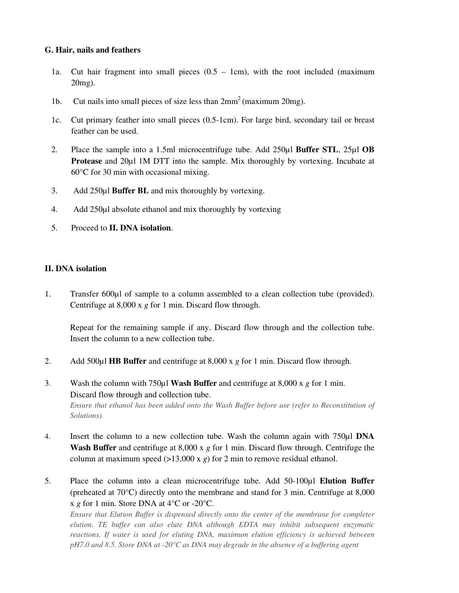#### **G. Hair, nails and feathers**

- 1a. Cut hair fragment into small pieces  $(0.5 1$ cm), with the root included (maximum 20mg).
- 1b. Cut nails into small pieces of size less than  $2mm^2$  (maximum 20mg).
- 1c. Cut primary feather into small pieces (0.5-1cm). For large bird, secondary tail or breast feather can be used.
- 2. Place the sample into a 1.5ml microcentrifuge tube. Add 250µl **Buffer STL**, 25µl **OB Protease** and 20µl 1M DTT into the sample. Mix thoroughly by vortexing. Incubate at 60°C for 30 min with occasional mixing.
- 3. Add 250µl **Buffer BL** and mix thoroughly by vortexing.
- 4. Add 250µl absolute ethanol and mix thoroughly by vortexing
- 5. Proceed to **II. DNA isolation**.

#### **II. DNA isolation**

1. Transfer 600µl of sample to a column assembled to a clean collection tube (provided). Centrifuge at 8,000 x *g* for 1 min. Discard flow through.

Repeat for the remaining sample if any. Discard flow through and the collection tube. Insert the column to a new collection tube.

- 2. Add 500µl **HB Buffer** and centrifuge at 8,000 x *g* for 1 min. Discard flow through.
- 3. Wash the column with 750µl **Wash Buffer** and centrifuge at 8,000 x *g* for 1 min. Discard flow through and collection tube. *Ensure that ethanol has been added onto the Wash Buffer before use (refer to Reconstitution of Solutions).*
- 4. Insert the column to a new collection tube. Wash the column again with 750µl **DNA Wash Buffer** and centrifuge at 8,000 x *g* for 1 min. Discard flow through. Centrifuge the column at maximum speed  $(>13,000 \times g)$  for 2 min to remove residual ethanol.
- 5. Place the column into a clean microcentrifuge tube. Add 50-100µl **Elution Buffer**  (preheated at 70°C) directly onto the membrane and stand for 3 min. Centrifuge at 8,000 x *g* for 1 min. Store DNA at 4°C or -20°C.

*Ensure that Elution Buffer is dispensed directly onto the center of the membrane for completer elution. TE buffer can also elute DNA although EDTA may inhibit subsequent enzymatic*  reactions. If water is used for eluting DNA, maximum elution efficiency is achieved between *pH7.0 and 8.5. Store DNA at -20°C as DNA may degrade in the absence of a buffering agent*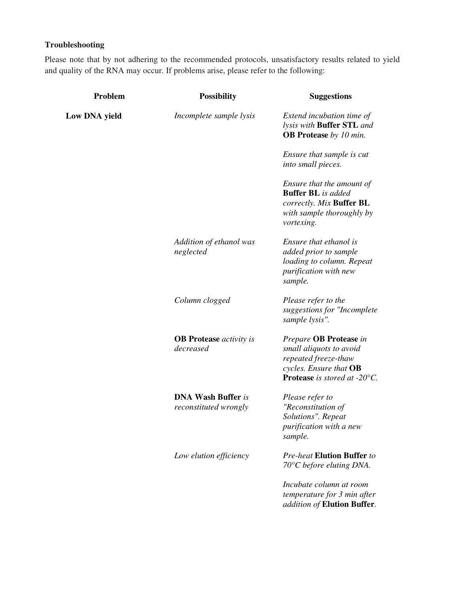# **Troubleshooting**

Please note that by not adhering to the recommended protocols, unsatisfactory results related to yield and quality of the RNA may occur. If problems arise, please refer to the following:

| Problem              | <b>Possibility</b>                                 | <b>Suggestions</b>                                                                                                                  |
|----------------------|----------------------------------------------------|-------------------------------------------------------------------------------------------------------------------------------------|
| <b>Low DNA yield</b> | Incomplete sample lysis                            | Extend incubation time of<br>lysis with <b>Buffer STL</b> and<br><b>OB Protease</b> by 10 min.                                      |
|                      |                                                    | Ensure that sample is cut<br>into small pieces.                                                                                     |
|                      |                                                    | Ensure that the amount of<br><b>Buffer BL</b> is added<br>correctly. Mix Buffer BL<br>with sample thoroughly by<br>vortexing.       |
|                      | Addition of ethanol was<br>neglected               | Ensure that ethanol is<br>added prior to sample<br>loading to column. Repeat<br>purification with new<br>sample.                    |
|                      | Column clogged                                     | Please refer to the<br>suggestions for "Incomplete<br>sample lysis".                                                                |
|                      | <b>OB</b> Protease <i>activity is</i><br>decreased | Prepare OB Protease in<br>small aliquots to avoid<br>repeated freeze-thaw<br>cycles. Ensure that OB<br>Protease is stored at -20°C. |
|                      | <b>DNA Wash Buffer is</b><br>reconstituted wrongly | Please refer to<br>"Reconstitution of<br>Solutions". Repeat<br>purification with a new<br>sample.                                   |
|                      | Low elution efficiency                             | <b>Pre-heat Elution Buffer to</b><br>$70^{\circ}$ C before eluting DNA.                                                             |
|                      |                                                    | Incubate column at room<br>temperature for 3 min after<br>addition of Elution Buffer.                                               |